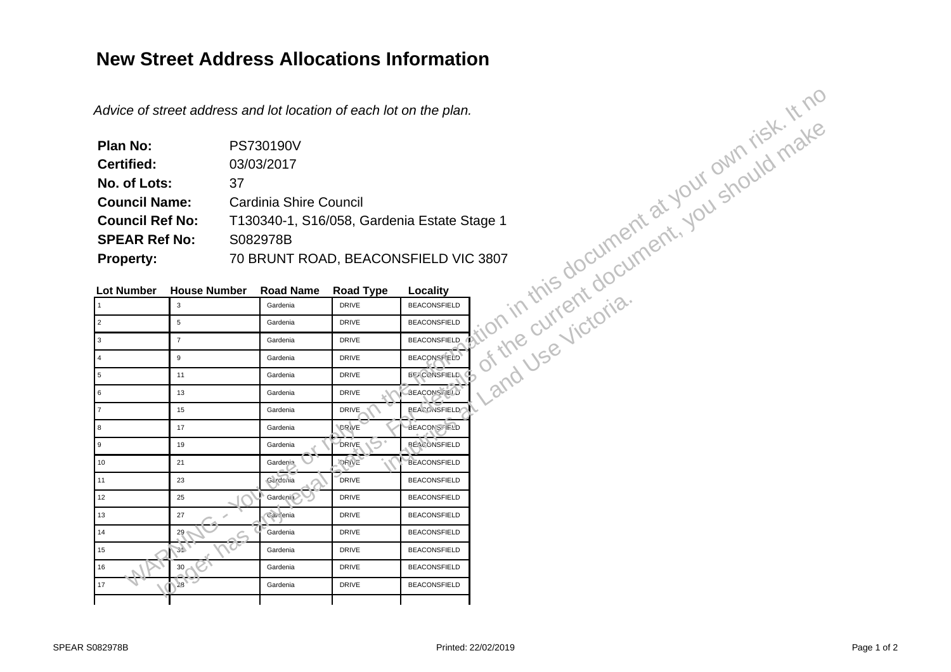## **New Street Address Allocations Information**

| Plan No:               | PS730190V                                   |
|------------------------|---------------------------------------------|
| <b>Certified:</b>      | 03/03/2017                                  |
| No. of Lots:           | 37                                          |
| <b>Council Name:</b>   | <b>Cardinia Shire Council</b>               |
| <b>Council Ref No:</b> | T130340-1, S16/058, Gardenia Estate Stage 1 |
| <b>SPEAR Ref No:</b>   | S082978B                                    |
| <b>Property:</b>       | 70 BRUNT ROAD, BEACONSFIELD VIC 3807        |

|                                                                       |                                  | Advice of street address and lot location of each lot on the plan. |                  |                     | entire of the current at your own risk it nc. |  |
|-----------------------------------------------------------------------|----------------------------------|--------------------------------------------------------------------|------------------|---------------------|-----------------------------------------------|--|
| <b>Plan No:</b>                                                       |                                  | PS730190V                                                          |                  |                     |                                               |  |
| <b>Certified:</b>                                                     |                                  | 03/03/2017                                                         |                  |                     |                                               |  |
| No. of Lots:                                                          | 37                               |                                                                    |                  |                     |                                               |  |
| <b>Council Name:</b>                                                  | <b>Cardinia Shire Council</b>    |                                                                    |                  |                     |                                               |  |
| <b>Council Ref No:</b><br>T130340-1, S16/058, Gardenia Estate Stage 1 |                                  |                                                                    |                  |                     |                                               |  |
|                                                                       | <b>SPEAR Ref No:</b><br>S082978B |                                                                    |                  |                     |                                               |  |
| <b>Property:</b>                                                      |                                  | 70 BRUNT ROAD, BEACONSFIELD VIC 3807                               |                  |                     |                                               |  |
|                                                                       |                                  |                                                                    |                  |                     |                                               |  |
| <b>Lot Number</b>                                                     | <b>House Number</b>              | <b>Road Name</b>                                                   | <b>Road Type</b> | Locality            |                                               |  |
| 1                                                                     | $\mathbf{3}$                     | Gardenia                                                           | <b>DRIVE</b>     | <b>BEACONSFIELD</b> |                                               |  |
| $\overline{2}$                                                        | 5                                | Gardenia                                                           | <b>DRIVE</b>     | <b>BEACONSFIELD</b> |                                               |  |
| $\mathbf{3}$                                                          | $\overline{7}$                   | Gardenia                                                           | <b>DRIVE</b>     | <b>BEACONSFIELD</b> |                                               |  |
| $\overline{4}$                                                        | 9                                | Gardenia                                                           | <b>DRIVE</b>     | BEACONSF ELD        |                                               |  |
| $5\phantom{.0}$                                                       | 11                               | Gardenia                                                           | <b>DRIVE</b>     | <b>BE/CONSFIELD</b> |                                               |  |
| $6\phantom{a}$                                                        | 13                               | Gardenia                                                           | <b>DRIVE</b>     | <b>BEACONSTIELD</b> |                                               |  |
| $\overline{7}$                                                        | 15                               | Gardenia                                                           | <b>DRIVE</b>     | <b>BEACONSFIELD</b> |                                               |  |
| 8                                                                     | 17                               | Gardenia                                                           | DRIVE            | BEACONS TELD        |                                               |  |
| $\overline{9}$                                                        | 19                               | Gardenia                                                           | DRIVE.           | <b>BEACONSFIELD</b> |                                               |  |
| 10                                                                    | 21                               | Gardenia                                                           | DRIVE            | <b>BEACONSFIELD</b> |                                               |  |
| 11                                                                    | 23                               | Gardenia                                                           | <b>DRIVE</b>     | <b>BEACONSFIELD</b> |                                               |  |
| 12                                                                    | 25                               | Gardeni i                                                          | <b>DRIVE</b>     | <b>BEACONSFIELD</b> |                                               |  |
| 13                                                                    | 27                               | Carlenia                                                           | <b>DRIVE</b>     | <b>BEACONSFIELD</b> |                                               |  |
| 14                                                                    | 29                               | Gardenia                                                           | <b>DRIVE</b>     | <b>BEACONSFIELD</b> |                                               |  |
| 15                                                                    | $\mathcal{L}$                    | Gardenia                                                           | <b>DRIVE</b>     | <b>BEACONSFIELD</b> |                                               |  |
| 16                                                                    | $30 -$                           | Gardenia                                                           | <b>DRIVE</b>     | <b>BEACONSFIELD</b> |                                               |  |
| $17\,$                                                                | $38 -$                           | Gardenia                                                           | <b>DRIVE</b>     | <b>BEACONSFIELD</b> |                                               |  |
|                                                                       |                                  |                                                                    |                  |                     |                                               |  |